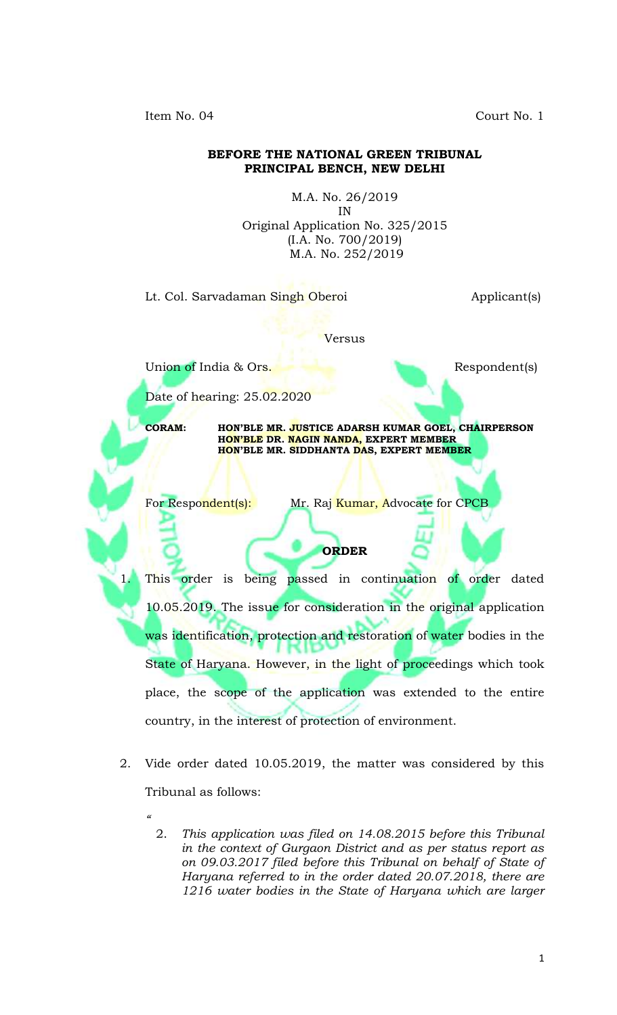Item No. 04 Court No. 1

## **BEFORE THE NATIONAL GREEN TRIBUNAL PRINCIPAL BENCH, NEW DELHI**

M.A. No. 26/2019 IN Original Application No. 325/2015 (I.A. No. 700/2019) M.A. No. 252/2019

Lt. Col. Sarvadaman Singh Oberoi **Applicant**(s)

Versus

Union of India & Ors. Respondent(s)

Date of hearing: 25.02.2020

*"*

**CORAM: HON'BLE MR. JUSTICE ADARSH KUMAR GOEL, CHAIRPERSON HON'BLE DR. NAGIN NANDA, EXPERT MEMBER HON'BLE MR. SIDDHANTA DAS, EXPERT MEMBER**

For Respondent(s): Mr. Raj Kumar, Advocate for CPCB

This order is being passed in continuation of order dated 10.05.2019. The issue for consideration in the original application was identification, protection and restoration of water bodies in the State of Haryana. However, in the light of proceedings which took place, the scope of the application was extended to the entire country, in the interest of protection of environment.

**ORDER**

- 2. Vide order dated 10.05.2019, the matter was considered by this Tribunal as follows:
	- 2. *This application was filed on 14.08.2015 before this Tribunal in the context of Gurgaon District and as per status report as on 09.03.2017 filed before this Tribunal on behalf of State of Haryana referred to in the order dated 20.07.2018, there are 1216 water bodies in the State of Haryana which are larger*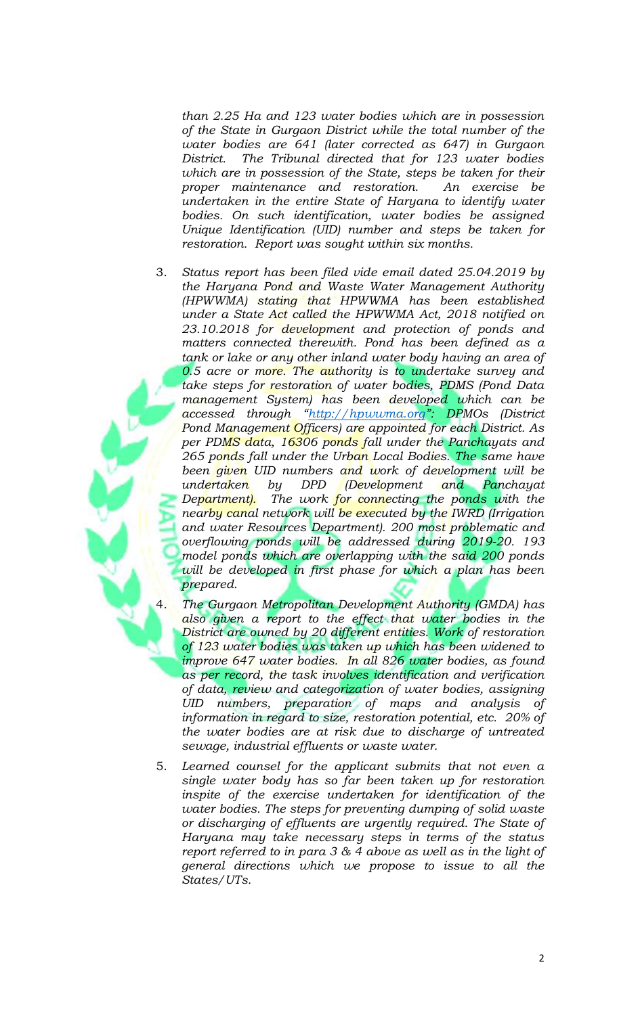*than 2.25 Ha and 123 water bodies which are in possession of the State in Gurgaon District while the total number of the water bodies are 641 (later corrected as 647) in Gurgaon District. The Tribunal directed that for 123 water bodies which are in possession of the State, steps be taken for their proper maintenance and restoration. An exercise be undertaken in the entire State of Haryana to identify water bodies. On such identification, water bodies be assigned Unique Identification (UID) number and steps be taken for restoration. Report was sought within six months.* 

- 3. *Status report has been filed vide email dated 25.04.2019 by the Haryana Pond and Waste Water Management Authority (HPWWMA) stating that HPWWMA has been established under a State Act called the HPWWMA Act, 2018 notified on 23.10.2018 for development and protection of ponds and matters connected therewith. Pond has been defined as a tank or lake or any other inland water body having an area of 0.5 acre or more. The authority is to undertake survey and take steps for restoration of water bodies, PDMS (Pond Data management System) has been developed which can be accessed through "[http://hpwwma.org](http://hpwwma.org/)": DPMOs (District Pond Management Officers) are appointed for each District. As per PDMS data, 16306 ponds fall under the Panchayats and 265 ponds fall under the Urban Local Bodies. The same have been given UID numbers and work of development will be undertaken by DPD (Development and Panchayat Department). The work for connecting the ponds with the nearby canal network will be executed by the IWRD (Irrigation and water Resources Department). 200 most problematic and overflowing ponds will be addressed during 2019-20. 193 model ponds which are overlapping with the said 200 ponds will be developed in first phase for which a plan has been prepared.* 
	- 4. *The Gurgaon Metropolitan Development Authority (GMDA) has also given a report to the effect that water bodies in the District are owned by 20 different entities. Work of restoration of 123 water bodies was taken up which has been widened to improve 647 water bodies. In all 826 water bodies, as found as per record, the task involves identification and verification of data, review and categorization of water bodies, assigning UID numbers, preparation of maps and analysis of information in regard to size, restoration potential, etc. 20% of the water bodies are at risk due to discharge of untreated sewage, industrial effluents or waste water.*
- 5. *Learned counsel for the applicant submits that not even a single water body has so far been taken up for restoration inspite of the exercise undertaken for identification of the water bodies. The steps for preventing dumping of solid waste or discharging of effluents are urgently required. The State of Haryana may take necessary steps in terms of the status report referred to in para 3 & 4 above as well as in the light of general directions which we propose to issue to all the States/UTs.*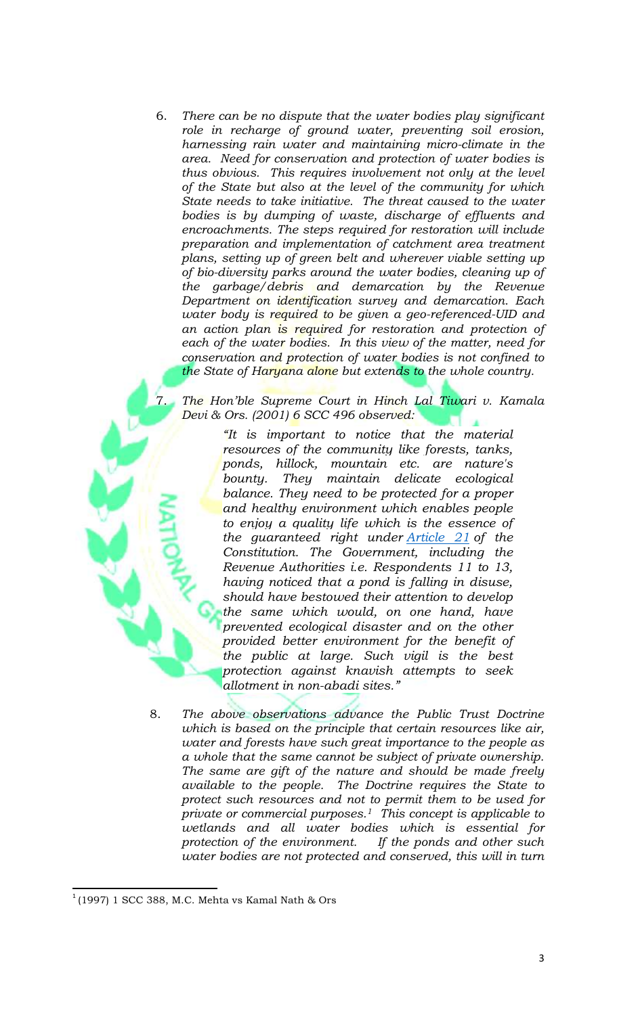6. *There can be no dispute that the water bodies play significant role in recharge of ground water, preventing soil erosion, harnessing rain water and maintaining micro-climate in the area. Need for conservation and protection of water bodies is thus obvious. This requires involvement not only at the level of the State but also at the level of the community for which State needs to take initiative. The threat caused to the water bodies is by dumping of waste, discharge of effluents and encroachments. The steps required for restoration will include preparation and implementation of catchment area treatment plans, setting up of green belt and wherever viable setting up of bio-diversity parks around the water bodies, cleaning up of the garbage/debris and demarcation by the Revenue Department on identification survey and demarcation. Each water body is required to be given a geo-referenced-UID and an action plan is required for restoration and protection of each of the water bodies. In this view of the matter, need for conservation and protection of water bodies is not confined to the State of Haryana alone but extends to the whole country.*

7. *The Hon'ble Supreme Court in Hinch Lal Tiwari v. Kamala Devi & Ors. (2001) 6 SCC 496 observed:*

> *"It is important to notice that the material resources of the community like forests, tanks, ponds, hillock, mountain etc. are nature's bounty. They maintain delicate ecological balance. They need to be protected for a proper and healthy environment which enables people to enjoy a quality life which is the essence of the guaranteed right under [Article 21](https://indiankanoon.org/doc/1199182/) of the Constitution. The Government, including the Revenue Authorities i.e. Respondents 11 to 13, having noticed that a pond is falling in disuse, should have bestowed their attention to develop the same which would, on one hand, have prevented ecological disaster and on the other provided better environment for the benefit of the public at large. Such vigil is the best protection against knavish attempts to seek allotment in non-abadi sites."*

8. *The above observations advance the Public Trust Doctrine which is based on the principle that certain resources like air, water and forests have such great importance to the people as a whole that the same cannot be subject of private ownership. The same are gift of the nature and should be made freely available to the people. The Doctrine requires the State to protect such resources and not to permit them to be used for private or commercial purposes.1 This concept is applicable to wetlands and all water bodies which is essential for protection of the environment. If the ponds and other such water bodies are not protected and conserved, this will in turn* 

 $\overline{\phantom{a}}$  $^1$ (1997) 1 SCC 388, M.C. Mehta vs Kamal Nath & Ors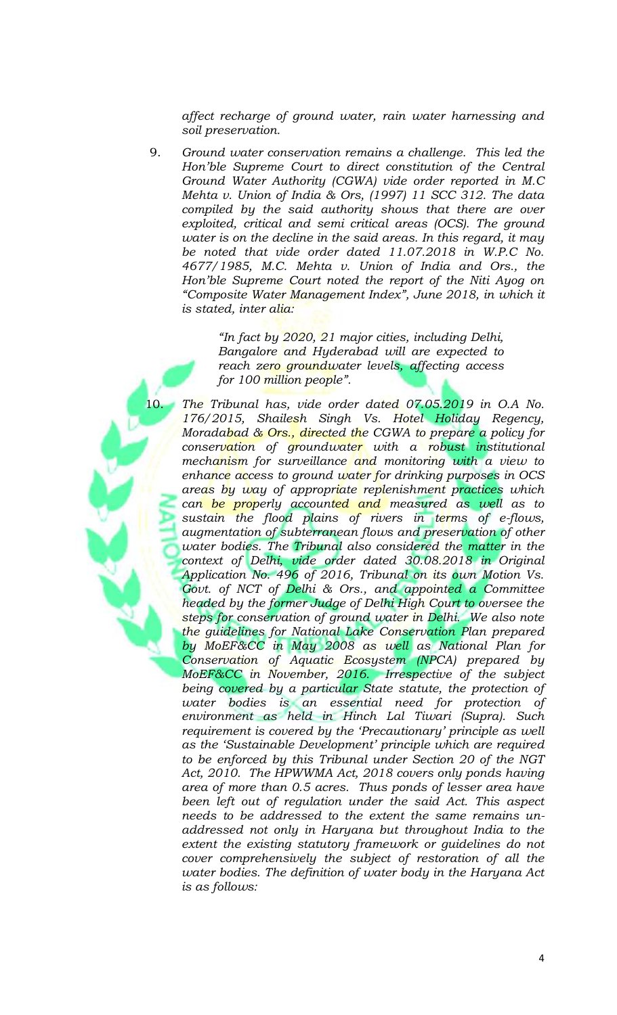*affect recharge of ground water, rain water harnessing and soil preservation.* 

9. *Ground water conservation remains a challenge. This led the Hon'ble Supreme Court to direct constitution of the Central Ground Water Authority (CGWA) vide order reported in M.C Mehta v. Union of India & Ors, (1997) 11 SCC 312. The data compiled by the said authority shows that there are over exploited, critical and semi critical areas (OCS). The ground water is on the decline in the said areas. In this regard, it may be noted that vide order dated 11.07.2018 in W.P.C No. 4677/1985, M.C. Mehta v. Union of India and Ors., the Hon'ble Supreme Court noted the report of the Niti Ayog on "Composite Water Management Index", June 2018, in which it is stated, inter alia:*

> *"In fact by 2020, 21 major cities, including Delhi, Bangalore and Hyderabad will are expected to reach zero groundwater levels, affecting access for 100 million people".*

The Tribunal has, vide order dated 07.05.2019 in O.A No. *176/2015, Shailesh Singh Vs. Hotel Holiday Regency, Moradabad & Ors., directed the CGWA to prepare a policy for conservation of groundwater with a robust institutional mechanism for surveillance and monitoring with a view to enhance access to ground water for drinking purposes in OCS areas by way of appropriate replenishment practices which can be properly accounted and measured as well as to sustain the flood plains of rivers in terms of e-flows, augmentation of subterranean flows and preservation of other water bodies. The Tribunal also considered the matter in the context of Delhi, vide order dated 30.08.2018 in Original Application No. 496 of 2016, Tribunal on its own Motion Vs. Govt. of NCT of Delhi & Ors., and appointed a Committee headed by the former Judge of Delhi High Court to oversee the steps for conservation of ground water in Delhi. We also note the guidelines for National Lake Conservation Plan prepared by MoEF&CC in May 2008 as well as National Plan for Conservation of Aquatic Ecosystem (NPCA) prepared by MoEF&CC in November, 2016. Irrespective of the subject being covered by a particular State statute, the protection of water bodies is an essential need for protection of environment as held in Hinch Lal Tiwari (Supra). Such requirement is covered by the 'Precautionary' principle as well as the 'Sustainable Development' principle which are required to be enforced by this Tribunal under Section 20 of the NGT Act, 2010. The HPWWMA Act, 2018 covers only ponds having area of more than 0.5 acres. Thus ponds of lesser area have been left out of regulation under the said Act. This aspect needs to be addressed to the extent the same remains unaddressed not only in Haryana but throughout India to the extent the existing statutory framework or guidelines do not cover comprehensively the subject of restoration of all the water bodies. The definition of water body in the Haryana Act is as follows:*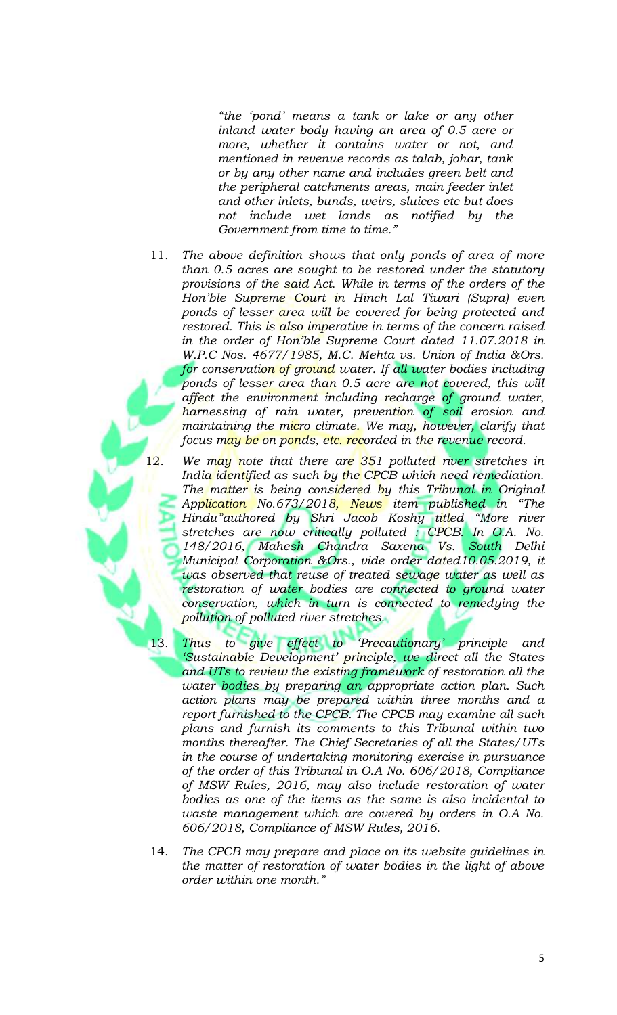*"the 'pond' means a tank or lake or any other inland water body having an area of 0.5 acre or more, whether it contains water or not, and mentioned in revenue records as talab, johar, tank or by any other name and includes green belt and the peripheral catchments areas, main feeder inlet and other inlets, bunds, weirs, sluices etc but does not include wet lands as notified by the Government from time to time."*

- 11. *The above definition shows that only ponds of area of more than 0.5 acres are sought to be restored under the statutory provisions of the said Act. While in terms of the orders of the Hon'ble Supreme Court in Hinch Lal Tiwari (Supra) even ponds of lesser area will be covered for being protected and restored. This is also imperative in terms of the concern raised in the order of Hon'ble Supreme Court dated 11.07.2018 in W.P.C Nos. 4677/1985, M.C. Mehta vs. Union of India &Ors.*  for conservation of ground water. If all water bodies including *ponds of lesser area than 0.5 acre are not covered, this will affect the environment including recharge of ground water, harnessing of rain water, prevention of soil erosion and maintaining the micro climate. We may, however, clarify that focus may be on ponds, etc. recorded in the revenue record.*
- 12. *We may note that there are 351 polluted river stretches in India identified as such by the CPCB which need remediation. The matter is being considered by this Tribunal in Original Application No.673/2018, News item published in "The Hindu"authored by Shri Jacob Koshy titled "More river stretches are now critically polluted : CPCB. In O.A. No. 148/2016, Mahesh Chandra Saxena Vs. South Delhi Municipal Corporation &Ors., vide order dated10.05.2019, it was observed that reuse of treated sewage water as well as*  restoration of water bodies are connected to ground water *conservation, which in turn is connected to remedying the pollution of polluted river stretches.*
- 
- 13. *Thus to give effect to 'Precautionary' principle and 'Sustainable Development' principle, we direct all the States and UTs to review the existing framework of restoration all the water bodies by preparing an appropriate action plan. Such action plans may be prepared within three months and a report furnished to the CPCB. The CPCB may examine all such plans and furnish its comments to this Tribunal within two months thereafter. The Chief Secretaries of all the States/UTs in the course of undertaking monitoring exercise in pursuance of the order of this Tribunal in O.A No. 606/2018, Compliance of MSW Rules, 2016, may also include restoration of water bodies as one of the items as the same is also incidental to waste management which are covered by orders in O.A No. 606/2018, Compliance of MSW Rules, 2016.*
- 14. *The CPCB may prepare and place on its website guidelines in the matter of restoration of water bodies in the light of above order within one month."*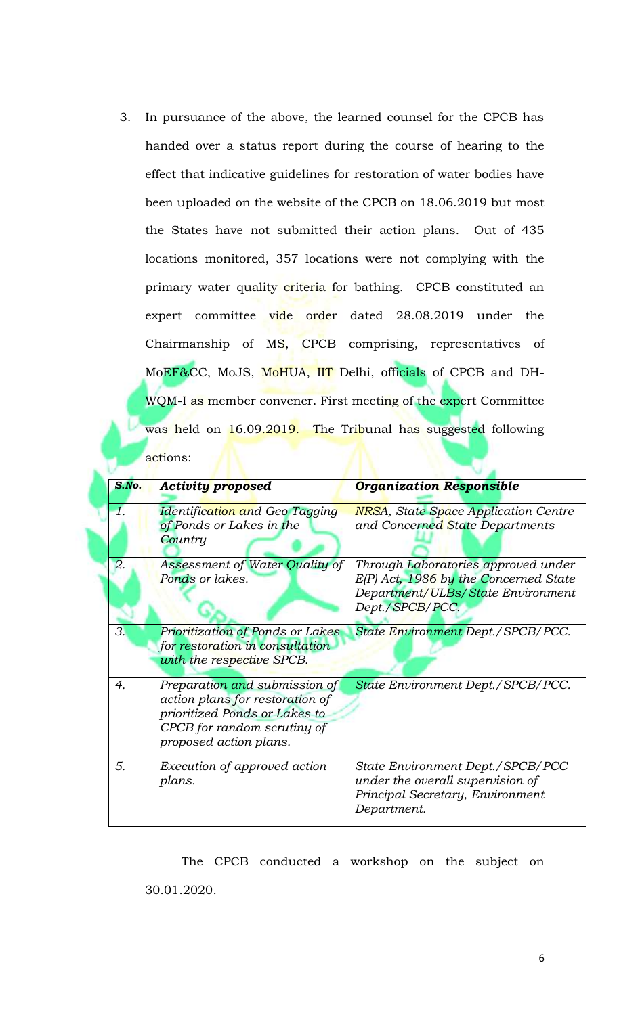3. In pursuance of the above, the learned counsel for the CPCB has handed over a status report during the course of hearing to the effect that indicative guidelines for restoration of water bodies have been uploaded on the website of the CPCB on 18.06.2019 but most the States have not submitted their action plans. Out of 435 locations monitored, 357 locations were not complying with the primary water quality criteria for bathing. CPCB constituted an expert committee vide order dated 28.08.2019 under the Chairmanship of MS, CPCB comprising, representatives of MoEF&CC, MoJS, MoHUA, IIT Delhi, officials of CPCB and DH-WQM-I as member convener. First meeting of the expert Committee was held on 16.09.2019. The Tribunal has suggested following actions:

| S.No.            | <b>Activity proposed</b>                                                                                                                                   | <b>Organization Responsible</b>                                                                                                        |
|------------------|------------------------------------------------------------------------------------------------------------------------------------------------------------|----------------------------------------------------------------------------------------------------------------------------------------|
| 1.               | Identification and Geo-Tagging<br>of Ponds or Lakes in the<br>Country                                                                                      | <b>NRSA</b> , State Space Application Centre<br>and Concerned State Departments                                                        |
| 2.               | Assessment of Water Quality of<br>Ponds or lakes.                                                                                                          | Through Laboratories approved under<br>$E(P)$ Act, 1986 by the Concerned State<br>Department/ULBs/State Environment<br>Dept./SPCB/PCC. |
| 3.               | Prioritization of Ponds or Lakes<br>for restoration in consultation<br>with the respective SPCB.                                                           | State Environment Dept./SPCB/PCC.                                                                                                      |
| $\overline{4}$ . | Preparation and submission of<br>action plans for restoration of<br>prioritized Ponds or Lakes to<br>CPCB for random scrutiny of<br>proposed action plans. | State Environment Dept./SPCB/PCC.                                                                                                      |
| 5.               | Execution of approved action<br>plans.                                                                                                                     | State Environment Dept./SPCB/PCC<br>under the overall supervision of<br>Principal Secretary, Environment<br>Department.                |

The CPCB conducted a workshop on the subject on 30.01.2020.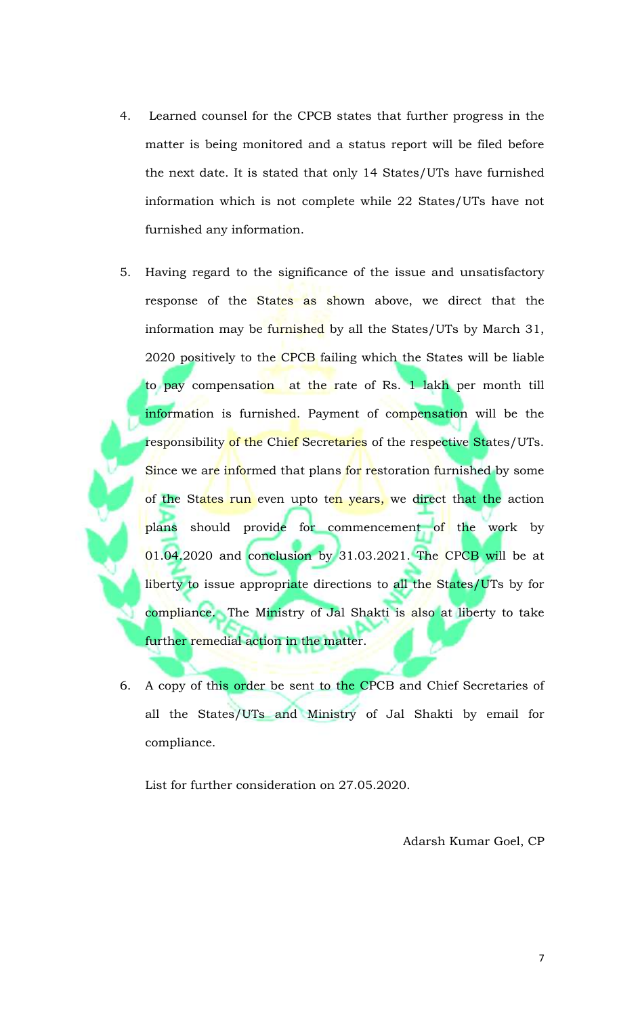- 4. Learned counsel for the CPCB states that further progress in the matter is being monitored and a status report will be filed before the next date. It is stated that only 14 States/UTs have furnished information which is not complete while 22 States/UTs have not furnished any information.
- 5. Having regard to the significance of the issue and unsatisfactory response of the States as shown above, we direct that the information may be furnished by all the States/UTs by March 31, 2020 positively to the CPCB failing which the States will be liable to pay compensation at the rate of Rs. 1 lakh per month till information is furnished. Payment of compensation will be the responsibility of the Chief Secretaries of the respective States/UTs. Since we are informed that plans for restoration furnished by some of the States run even upto ten years, we direct that the action plans should provide for commencement of the work by 01.04.2020 and conclusion by 31.03.2021. The CPCB will be at liberty to issue appropriate directions to all the States/UTs by for compliance. The Ministry of Jal Shakti is also at liberty to take further remedial action in the matter.
- 6. A copy of this order be sent to the CPCB and Chief Secretaries of all the States/UTs and Ministry of Jal Shakti by email for compliance.

List for further consideration on 27.05.2020.

Adarsh Kumar Goel, CP